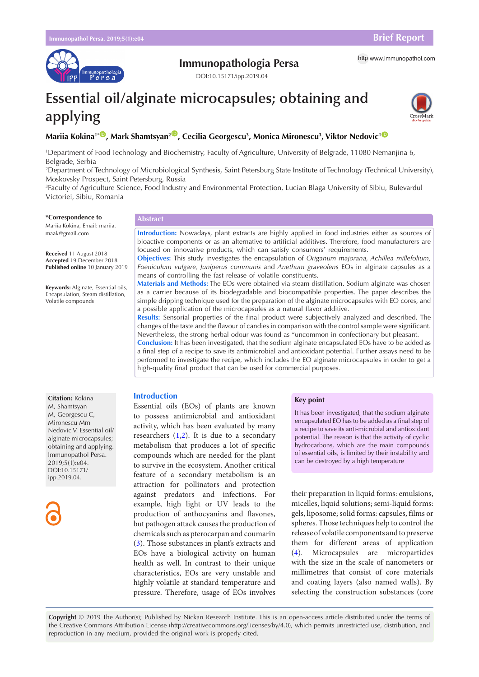

# **Immunopathologia Persa** http [www.immunopathol.com](http://www.immunopathol.com)

DOI[:10.15171/ipp.2019.0](https://doi.org/10.15171/ipp.2019.04)4

# **Essential oil/alginate microcapsules; obtaining and applying**



# Mariia Kokina<sup>1\*</sup>®, Mark Shamtsyan<sup>2</sup>®, Cecilia Georgescu<sup>3</sup>, Monica Mironescu<sup>3</sup>, Viktor Nedovic<sup>1©</sup>

1 Department of Food Technology and Biochemistry, Faculty of Agriculture, University of Belgrade, 11080 Nemanjina 6, Belgrade, Serbia

2 Department of Technology of Microbiological Synthesis, Saint Petersburg State Institute of Technology (Technical University), Moskovsky Prospect, Saint Petersburg, Russia

3 Faculty of Agriculture Science, Food Industry and Environmental Protection, Lucian Blaga University of Sibiu, Bulevardul Victoriei, Sibiu, Romania

#### **\*Correspondence to**

Mariia Kokina, Email: mariia. maak@gmail.com

**Received** 11 August 2018 **Accepted** 19 December 2018 **Published online** 10 January 2019

**Keywords:** Alginate, Essential oils, Encapsulation, Steam distillation, Volatile compounds

#### **Abstract**

**Introduction:** Nowadays, plant extracts are highly applied in food industries either as sources of bioactive components or as an alternative to artificial additives. Therefore, food manufacturers are focused on innovative products, which can satisfy consumers' requirements.

**Objectives:** This study investigates the encapsulation of *Origanum majorana, Achillea millefolium, Foeniculum vulgare, Juniperus communis* and *Anethum graveolens* EOs in alginate capsules as a means of controlling the fast release of volatile constituents.

**Materials and Methods:** The EOs were obtained via steam distillation. Sodium alginate was chosen as a carrier because of its biodegradable and biocompatible properties. The paper describes the simple dripping technique used for the preparation of the alginate microcapsules with EO cores, and a possible application of the microcapsules as a natural flavor additive.

**Results:** Sensorial properties of the final product were subjectively analyzed and described. The changes of the taste and the flavour of candies in comparison with the control sample were significant. Nevertheless, the strong herbal odour was found as "uncommon in confectionary but pleasant.

**Conclusion:** It has been investigated, that the sodium alginate encapsulated EOs have to be added as a final step of a recipe to save its antimicrobial and antioxidant potential. Further assays need to be performed to investigate the recipe, which includes the EO alginate microcapsules in order to get a high-quality final product that can be used for commercial purposes.

# **Introduction**

Essential oils (EOs) of plants are known to possess antimicrobial and antioxidant activity, which has been evaluated by many researchers  $(1,2)$  $(1,2)$  $(1,2)$  $(1,2)$  $(1,2)$ . It is due to a secondary metabolism that produces a lot of specific compounds which are needed for the plant to survive in the ecosystem. Another critical feature of a secondary metabolism is an attraction for pollinators and protection against predators and infections. For example, high light or UV leads to the production of anthocyanins and flavones, but pathogen attack causes the production of chemicals such as pterocarpan and coumarin [\(3](#page-2-2)). Those substances in plant's extracts and EOs have a biological activity on human health as well. In contrast to their unique characteristics, EOs are very unstable and highly volatile at standard temperature and pressure. Therefore, usage of EOs involves

# **Key point**

It has been investigated, that the sodium alginate encapsulated EO has to be added as a final step of a recipe to save its anti-microbial and antioxidant potential. The reason is that the activity of cyclic hydrocarbons, which are the main compounds of essential oils, is limited by their instability and can be destroyed by a high temperature

their preparation in liquid forms: emulsions, micelles, liquid solutions; semi-liquid forms: gels, liposome; solid forms: capsules, films or spheres. Those techniques help to control the release of volatile components and to preserve them for different areas of application ([4\)](#page-2-3). Microcapsules are microparticles with the size in the scale of nanometers or millimetres that consist of core materials and coating layers (also named walls). By selecting the construction substances (core

**Copyright** © 2019 The Author(s); Published by Nickan Research Institute. This is an open-access article distributed under the terms of the Creative Commons Attribution License (http://creativecommons.org/licenses/by/4.0), which permits unrestricted use, distribution, and reproduction in any medium, provided the original work is properly cited.

**Citation:** Kokina M, Shamtsyan M, Georgescu C, Mironescu Mm Nedovic V. Essential oil/ alginate microcapsules; obtaining and applying. Immunopathol Persa. 2019;5(1):e04. DOI:10.15171/ ipp.2019.04.

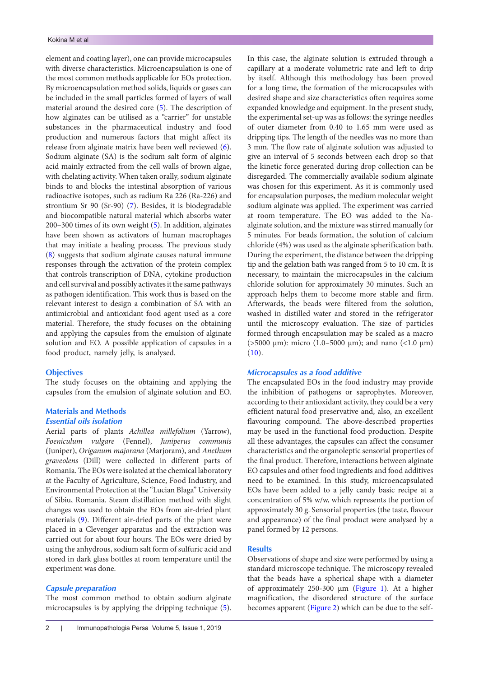element and coating layer), one can provide microcapsules with diverse characteristics. Microencapsulation is one of the most common methods applicable for EOs protection. By microencapsulation method solids, liquids or gases can be included in the small particles formed of layers of wall material around the desired core [\(5\)](#page-2-4). The description of how alginates can be utilised as a "carrier" for unstable substances in the pharmaceutical industry and food production and numerous factors that might affect its release from alginate matrix have been well reviewed [\(6\)](#page-2-5). Sodium alginate (SA) is the sodium salt form of alginic acid mainly extracted from the cell walls of brown algae, with chelating activity. When taken orally, sodium alginate binds to and blocks the intestinal absorption of various radioactive isotopes, such as radium Ra 226 (Ra-226) and strontium Sr 90 (Sr-90) [\(7](#page-2-6)). Besides, it is biodegradable and biocompatible natural material which absorbs water 200–300 times of its own weight ([5\)](#page-2-4). In addition, alginates have been shown as activators of human macrophages that may initiate a healing process. The previous study [\(8\)](#page-2-7) suggests that sodium alginate causes natural immune responses through the activation of the protein complex that controls transcription of DNA, cytokine production and cell survival and possibly activates it the same pathways as pathogen identification. This work thus is based on the relevant interest to design a combination of SA with an antimicrobial and antioxidant food agent used as a core material. Therefore, the study focuses on the obtaining and applying the capsules from the emulsion of alginate solution and EO. A possible application of capsules in a food product, namely jelly, is analysed.

# **Objectives**

The study focuses on the obtaining and applying the capsules from the emulsion of alginate solution and EO.

# **Materials and Methods**

## *Essential oils isolation*

Aerial parts of plants *Achillea millefolium* (Yarrow), *Foeniculum vulgare* (Fennel), *Juniperus communis* (Juniper), *Origanum majorana* (Marjoram), and *Anethum graveolens* (Dill) were collected in different parts of Romania. The EOs were isolated at the chemical laboratory at the Faculty of Agriculture, Science, Food Industry, and Environmental Protection at the "Lucian Blaga" University of Sibiu, Romania. Steam distillation method with slight changes was used to obtain the EOs from air-dried plant materials [\(9](#page-2-8)). Different air-dried parts of the plant were placed in a Clevenger apparatus and the extraction was carried out for about four hours. The EOs were dried by using the anhydrous, sodium salt form of sulfuric acid and stored in dark glass bottles at room temperature until the experiment was done.

# *Capsule preparation*

The most common method to obtain sodium alginate microcapsules is by applying the dripping technique [\(5\)](#page-2-4). In this case, the alginate solution is extruded through a capillary at a moderate volumetric rate and left to drip by itself. Although this methodology has been proved for a long time, the formation of the microcapsules with desired shape and size characteristics often requires some expanded knowledge and equipment. In the present study, the experimental set-up was as follows: the syringe needles of outer diameter from 0.40 to 1.65 mm were used as dripping tips. The length of the needles was no more than 3 mm. The flow rate of alginate solution was adjusted to give an interval of 5 seconds between each drop so that the kinetic force generated during drop collection can be disregarded. The commercially available sodium alginate was chosen for this experiment. As it is commonly used for encapsulation purposes, the medium molecular weight sodium alginate was applied. The experiment was carried at room temperature. The EO was added to the Naalginate solution, and the mixture was stirred manually for 5 minutes. For beads formation, the solution of calcium chloride (4%) was used as the alginate spherification bath. During the experiment, the distance between the dripping tip and the gelation bath was ranged from 5 to 10 cm. It is necessary, to maintain the microcapsules in the calcium chloride solution for approximately 30 minutes. Such an approach helps them to become more stable and firm. Afterwards, the beads were filtered from the solution, washed in distilled water and stored in the refrigerator until the microscopy evaluation. The size of particles formed through encapsulation may be scaled as a macro ( $>5000 \mu m$ ): micro (1.0–5000  $\mu m$ ); and nano (<1.0  $\mu m$ )  $(10).$  $(10).$ 

#### *Microcapsules as a food additive*

The encapsulated EOs in the food industry may provide the inhibition of pathogens or saprophytes. Moreover, according to their antioxidant activity, they could be a very efficient natural food preservative and, also, an excellent flavouring compound. The above-described properties may be used in the functional food production. Despite all these advantages, the capsules can affect the consumer characteristics and the organoleptic sensorial properties of the final product. Therefore, interactions between alginate EO capsules and other food ingredients and food additives need to be examined. In this study, microencapsulated EOs have been added to a jelly candy basic recipe at a concentration of 5% w/w, which represents the portion of approximately 30 g. Sensorial properties (the taste, flavour and appearance) of the final product were analysed by a panel formed by 12 persons.

# **Results**

Observations of shape and size were performed by using a standard microscope technique. The microscopy revealed that the beads have a spherical shape with a diameter of approximately 250-300  $\mu$ m ([Figure 1\)](#page-2-10). At a higher magnification, the disordered structure of the surface becomes apparent ([Figure 2](#page-2-11)) which can be due to the self-